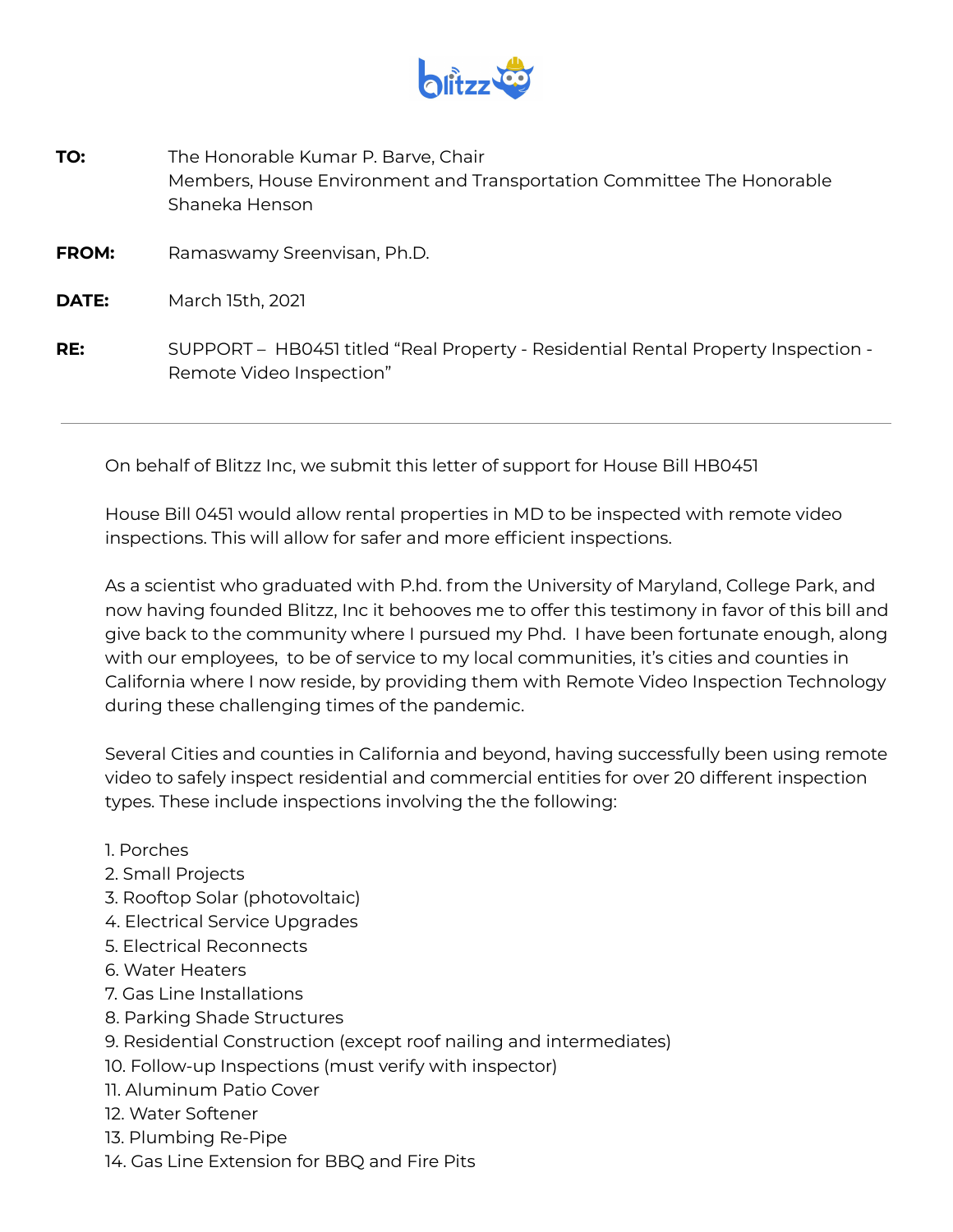

**TO:** The Honorable Kumar P. Barve, Chair Members, House Environment and Transportation Committee The Honorable Shaneka Henson **FROM:** Ramaswamy Sreenvisan, Ph.D. **DATE:** March 15th, 2021 **RE:** SUPPORT – HB0451 titled "Real Property - Residential Rental Property Inspection - Remote Video Inspection"

On behalf of Blitzz Inc, we submit this letter of support for House Bill HB0451

House Bill 0451 would allow rental properties in MD to be inspected with remote video inspections. This will allow for safer and more efficient inspections.

As a scientist who graduated with P.hd. from the University of Maryland, College Park, and now having founded Blitzz, Inc it behooves me to offer this testimony in favor of this bill and give back to the community where I pursued my Phd. I have been fortunate enough, along with our employees, to be of service to my local communities, it's cities and counties in California where I now reside, by providing them with Remote Video Inspection Technology during these challenging times of the pandemic.

Several Cities and counties in California and beyond, having successfully been using remote video to safely inspect residential and commercial entities for over 20 different inspection types. These include inspections involving the the following:

- 1. Porches
- 2. Small Projects
- 3. Rooftop Solar (photovoltaic)
- 4. Electrical Service Upgrades
- 5. Electrical Reconnects
- 6. Water Heaters
- 7. Gas Line Installations
- 8. Parking Shade Structures
- 9. Residential Construction (except roof nailing and intermediates)
- 10. Follow-up Inspections (must verify with inspector)
- 11. Aluminum Patio Cover
- 12. Water Softener
- 13. Plumbing Re-Pipe
- 14. Gas Line Extension for BBQ and Fire Pits